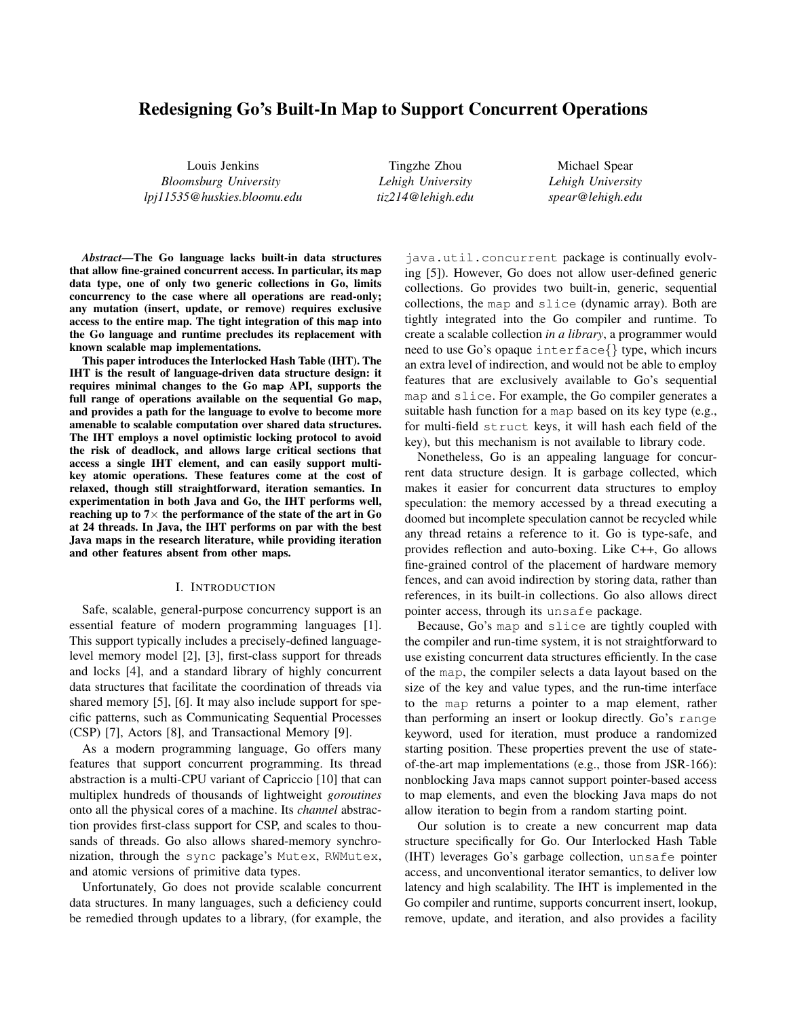# Redesigning Go's Built-In Map to Support Concurrent Operations

Louis Jenkins *Bloomsburg University lpj11535@huskies.bloomu.edu*

Tingzhe Zhou *Lehigh University tiz214@lehigh.edu*

Michael Spear *Lehigh University spear@lehigh.edu*

*Abstract*—The Go language lacks built-in data structures that allow fine-grained concurrent access. In particular, its **map** data type, one of only two generic collections in Go, limits concurrency to the case where all operations are read-only; any mutation (insert, update, or remove) requires exclusive access to the entire map. The tight integration of this **map** into the Go language and runtime precludes its replacement with known scalable map implementations.

This paper introduces the Interlocked Hash Table (IHT). The IHT is the result of language-driven data structure design: it requires minimal changes to the Go **map** API, supports the full range of operations available on the sequential Go **map**, and provides a path for the language to evolve to become more amenable to scalable computation over shared data structures. The IHT employs a novel optimistic locking protocol to avoid the risk of deadlock, and allows large critical sections that access a single IHT element, and can easily support multikey atomic operations. These features come at the cost of relaxed, though still straightforward, iteration semantics. In experimentation in both Java and Go, the IHT performs well, reaching up to  $7\times$  the performance of the state of the art in Go at 24 threads. In Java, the IHT performs on par with the best Java maps in the research literature, while providing iteration and other features absent from other maps.

#### I. INTRODUCTION

Safe, scalable, general-purpose concurrency support is an essential feature of modern programming languages [1]. This support typically includes a precisely-defined languagelevel memory model [2], [3], first-class support for threads and locks [4], and a standard library of highly concurrent data structures that facilitate the coordination of threads via shared memory [5], [6]. It may also include support for specific patterns, such as Communicating Sequential Processes (CSP) [7], Actors [8], and Transactional Memory [9].

As a modern programming language, Go offers many features that support concurrent programming. Its thread abstraction is a multi-CPU variant of Capriccio [10] that can multiplex hundreds of thousands of lightweight *goroutines* onto all the physical cores of a machine. Its *channel* abstraction provides first-class support for CSP, and scales to thousands of threads. Go also allows shared-memory synchronization, through the sync package's Mutex, RWMutex, and atomic versions of primitive data types.

Unfortunately, Go does not provide scalable concurrent data structures. In many languages, such a deficiency could be remedied through updates to a library, (for example, the

java.util.concurrent package is continually evolving [5]). However, Go does not allow user-defined generic collections. Go provides two built-in, generic, sequential collections, the map and slice (dynamic array). Both are tightly integrated into the Go compiler and runtime. To create a scalable collection *in a library*, a programmer would need to use Go's opaque interface{} type, which incurs an extra level of indirection, and would not be able to employ features that are exclusively available to Go's sequential map and slice. For example, the Go compiler generates a suitable hash function for a map based on its key type (e.g., for multi-field struct keys, it will hash each field of the key), but this mechanism is not available to library code.

Nonetheless, Go is an appealing language for concurrent data structure design. It is garbage collected, which makes it easier for concurrent data structures to employ speculation: the memory accessed by a thread executing a doomed but incomplete speculation cannot be recycled while any thread retains a reference to it. Go is type-safe, and provides reflection and auto-boxing. Like C++, Go allows fine-grained control of the placement of hardware memory fences, and can avoid indirection by storing data, rather than references, in its built-in collections. Go also allows direct pointer access, through its unsafe package.

Because, Go's map and slice are tightly coupled with the compiler and run-time system, it is not straightforward to use existing concurrent data structures efficiently. In the case of the map, the compiler selects a data layout based on the size of the key and value types, and the run-time interface to the map returns a pointer to a map element, rather than performing an insert or lookup directly. Go's range keyword, used for iteration, must produce a randomized starting position. These properties prevent the use of stateof-the-art map implementations (e.g., those from JSR-166): nonblocking Java maps cannot support pointer-based access to map elements, and even the blocking Java maps do not allow iteration to begin from a random starting point.

Our solution is to create a new concurrent map data structure specifically for Go. Our Interlocked Hash Table (IHT) leverages Go's garbage collection, unsafe pointer access, and unconventional iterator semantics, to deliver low latency and high scalability. The IHT is implemented in the Go compiler and runtime, supports concurrent insert, lookup, remove, update, and iteration, and also provides a facility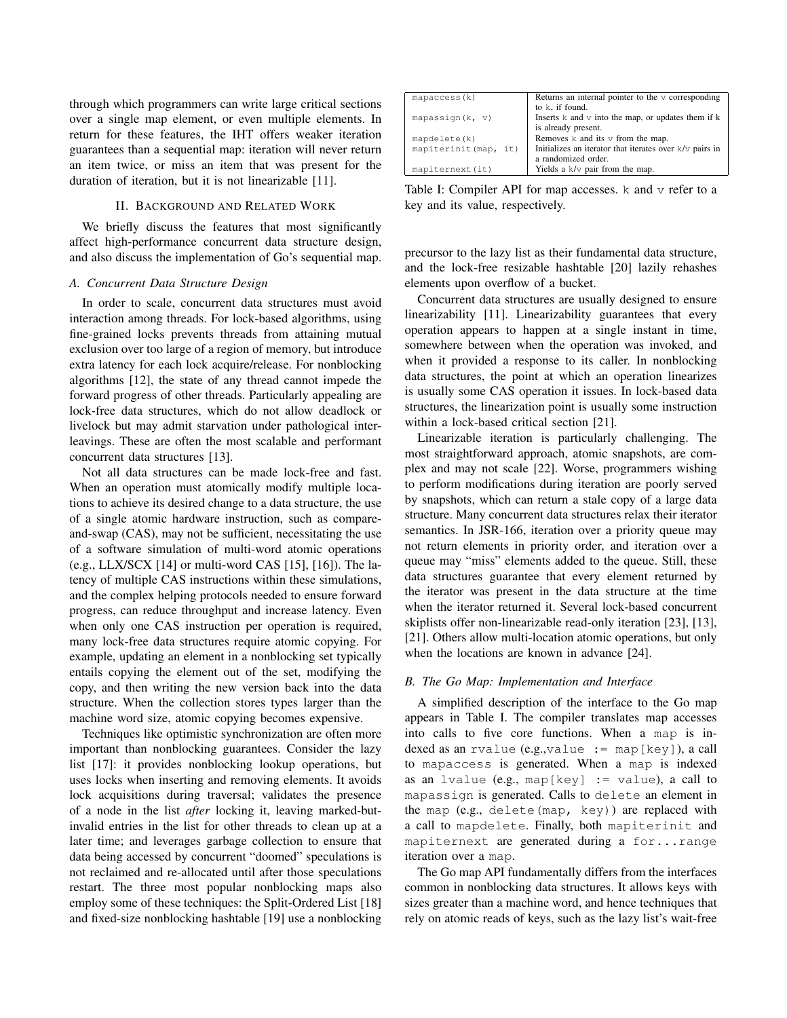through which programmers can write large critical sections over a single map element, or even multiple elements. In return for these features, the IHT offers weaker iteration guarantees than a sequential map: iteration will never return an item twice, or miss an item that was present for the duration of iteration, but it is not linearizable [11].

#### II. BACKGROUND AND RELATED WORK

We briefly discuss the features that most significantly affect high-performance concurrent data structure design, and also discuss the implementation of Go's sequential map.

#### *A. Concurrent Data Structure Design*

In order to scale, concurrent data structures must avoid interaction among threads. For lock-based algorithms, using fine-grained locks prevents threads from attaining mutual exclusion over too large of a region of memory, but introduce extra latency for each lock acquire/release. For nonblocking algorithms [12], the state of any thread cannot impede the forward progress of other threads. Particularly appealing are lock-free data structures, which do not allow deadlock or livelock but may admit starvation under pathological interleavings. These are often the most scalable and performant concurrent data structures [13].

Not all data structures can be made lock-free and fast. When an operation must atomically modify multiple locations to achieve its desired change to a data structure, the use of a single atomic hardware instruction, such as compareand-swap (CAS), may not be sufficient, necessitating the use of a software simulation of multi-word atomic operations (e.g., LLX/SCX [14] or multi-word CAS [15], [16]). The latency of multiple CAS instructions within these simulations, and the complex helping protocols needed to ensure forward progress, can reduce throughput and increase latency. Even when only one CAS instruction per operation is required, many lock-free data structures require atomic copying. For example, updating an element in a nonblocking set typically entails copying the element out of the set, modifying the copy, and then writing the new version back into the data structure. When the collection stores types larger than the machine word size, atomic copying becomes expensive.

Techniques like optimistic synchronization are often more important than nonblocking guarantees. Consider the lazy list [17]: it provides nonblocking lookup operations, but uses locks when inserting and removing elements. It avoids lock acquisitions during traversal; validates the presence of a node in the list *after* locking it, leaving marked-butinvalid entries in the list for other threads to clean up at a later time; and leverages garbage collection to ensure that data being accessed by concurrent "doomed" speculations is not reclaimed and re-allocated until after those speculations restart. The three most popular nonblocking maps also employ some of these techniques: the Split-Ordered List [18] and fixed-size nonblocking hashtable [19] use a nonblocking

| Returns an internal pointer to the $\nu$ corresponding       |
|--------------------------------------------------------------|
| to k, if found.                                              |
| Inserts $k$ and $\nu$ into the map, or updates them if $k$   |
| is already present.<br>Removes $k$ and its $v$ from the map. |
|                                                              |
| Initializes an iterator that iterates over k/v pairs in      |
| a randomized order.                                          |
| Yields a k/v pair from the map.                              |
|                                                              |

Table I: Compiler API for map accesses. k and v refer to a key and its value, respectively.

precursor to the lazy list as their fundamental data structure, and the lock-free resizable hashtable [20] lazily rehashes elements upon overflow of a bucket.

Concurrent data structures are usually designed to ensure linearizability [11]. Linearizability guarantees that every operation appears to happen at a single instant in time, somewhere between when the operation was invoked, and when it provided a response to its caller. In nonblocking data structures, the point at which an operation linearizes is usually some CAS operation it issues. In lock-based data structures, the linearization point is usually some instruction within a lock-based critical section [21].

Linearizable iteration is particularly challenging. The most straightforward approach, atomic snapshots, are complex and may not scale [22]. Worse, programmers wishing to perform modifications during iteration are poorly served by snapshots, which can return a stale copy of a large data structure. Many concurrent data structures relax their iterator semantics. In JSR-166, iteration over a priority queue may not return elements in priority order, and iteration over a queue may "miss" elements added to the queue. Still, these data structures guarantee that every element returned by the iterator was present in the data structure at the time when the iterator returned it. Several lock-based concurrent skiplists offer non-linearizable read-only iteration [23], [13], [21]. Others allow multi-location atomic operations, but only when the locations are known in advance [24].

#### *B. The Go Map: Implementation and Interface*

A simplified description of the interface to the Go map appears in Table I. The compiler translates map accesses into calls to five core functions. When a map is indexed as an rvalue (e.g.,value := map[key]), a call to mapaccess is generated. When a map is indexed as an lvalue (e.g., map[key]  $:=$  value), a call to mapassign is generated. Calls to delete an element in the map (e.g., delete(map, key)) are replaced with a call to mapdelete. Finally, both mapiterinit and mapiternext are generated during a for...range iteration over a map.

The Go map API fundamentally differs from the interfaces common in nonblocking data structures. It allows keys with sizes greater than a machine word, and hence techniques that rely on atomic reads of keys, such as the lazy list's wait-free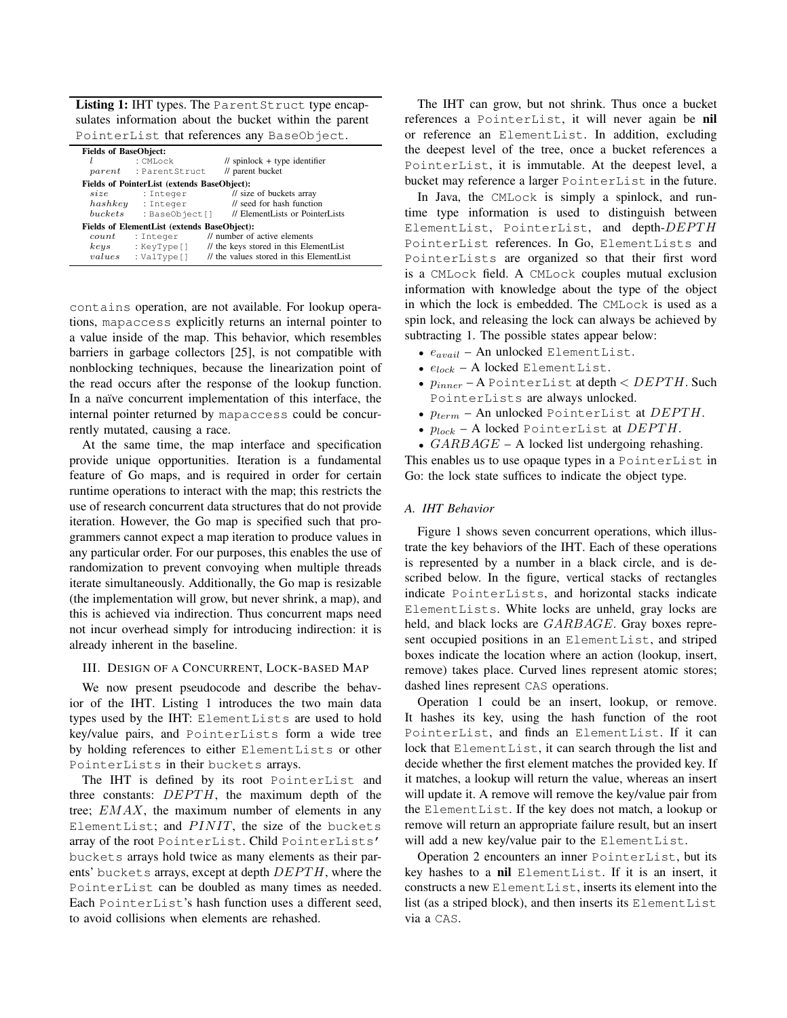Listing 1: IHT types. The ParentStruct type encapsulates information about the bucket within the parent PointerList that references any BaseObject.

| <b>Fields of BaseObject:</b> | $:$ CMLock<br><i>parent</i> : ParentStruct                                              | $\frac{1}{\sqrt{2}}$ spinlock + type identifier<br>// parent bucket                                                |
|------------------------------|-----------------------------------------------------------------------------------------|--------------------------------------------------------------------------------------------------------------------|
| size<br>hashkey<br>buckets   | Fields of PointerList (extends BaseObject):<br>: Integer<br>: Integer<br>: BaseObject[] | // size of buckets array<br>// seed for hash function<br>// ElementLists or PointerLists                           |
| count<br>keys<br>values      | Fields of ElementList (extends BaseObject):<br>: Integer<br>: KeyType[]<br>: ValType[]  | // number of active elements<br>// the keys stored in this ElementList<br>// the values stored in this ElementList |

contains operation, are not available. For lookup operations, mapaccess explicitly returns an internal pointer to a value inside of the map. This behavior, which resembles barriers in garbage collectors [25], is not compatible with nonblocking techniques, because the linearization point of the read occurs after the response of the lookup function. In a naïve concurrent implementation of this interface, the internal pointer returned by mapaccess could be concurrently mutated, causing a race.

At the same time, the map interface and specification provide unique opportunities. Iteration is a fundamental feature of Go maps, and is required in order for certain runtime operations to interact with the map; this restricts the use of research concurrent data structures that do not provide iteration. However, the Go map is specified such that programmers cannot expect a map iteration to produce values in any particular order. For our purposes, this enables the use of randomization to prevent convoying when multiple threads iterate simultaneously. Additionally, the Go map is resizable (the implementation will grow, but never shrink, a map), and this is achieved via indirection. Thus concurrent maps need not incur overhead simply for introducing indirection: it is already inherent in the baseline.

# III. DESIGN OF A CONCURRENT, LOCK-BASED MAP

We now present pseudocode and describe the behavior of the IHT. Listing 1 introduces the two main data types used by the IHT: ElementLists are used to hold key/value pairs, and PointerLists form a wide tree by holding references to either ElementLists or other PointerLists in their buckets arrays.

The IHT is defined by its root PointerList and three constants:  $DEPTH$ , the maximum depth of the tree; EMAX, the maximum number of elements in any ElementList; and  $PINT$ , the size of the buckets array of the root PointerList. Child PointerLists' buckets arrays hold twice as many elements as their parents' buckets arrays, except at depth  $DEPTH$ , where the PointerList can be doubled as many times as needed. Each PointerList's hash function uses a different seed, to avoid collisions when elements are rehashed.

The IHT can grow, but not shrink. Thus once a bucket references a PointerList, it will never again be nil or reference an ElementList. In addition, excluding the deepest level of the tree, once a bucket references a PointerList, it is immutable. At the deepest level, a bucket may reference a larger PointerList in the future.

In Java, the CMLock is simply a spinlock, and runtime type information is used to distinguish between ElementList, PointerList, and depth-DEPTH PointerList references. In Go, ElementLists and PointerLists are organized so that their first word is a CMLock field. A CMLock couples mutual exclusion information with knowledge about the type of the object in which the lock is embedded. The CMLock is used as a spin lock, and releasing the lock can always be achieved by subtracting 1. The possible states appear below:

- $e_{avail}$  An unlocked ElementList.
- $e_{lock}$  A locked ElementList.
- $p_{inner}$  A PointerList at depth  $\langle$  DEPTH. Such PointerLists are always unlocked.
- $p_{term}$  An unlocked PointerList at  $DEPTH$ .
- $p_{lock}$  A locked PointerList at  $DEPTH$ .

•  $GARBAGE - A$  locked list undergoing rehashing. This enables us to use opaque types in a PointerList in Go: the lock state suffices to indicate the object type.

#### *A. IHT Behavior*

Figure 1 shows seven concurrent operations, which illustrate the key behaviors of the IHT. Each of these operations is represented by a number in a black circle, and is described below. In the figure, vertical stacks of rectangles indicate PointerLists, and horizontal stacks indicate ElementLists. White locks are unheld, gray locks are held, and black locks are GARBAGE. Gray boxes represent occupied positions in an ElementList, and striped boxes indicate the location where an action (lookup, insert, remove) takes place. Curved lines represent atomic stores; dashed lines represent CAS operations.

Operation 1 could be an insert, lookup, or remove. It hashes its key, using the hash function of the root PointerList, and finds an ElementList. If it can lock that ElementList, it can search through the list and decide whether the first element matches the provided key. If it matches, a lookup will return the value, whereas an insert will update it. A remove will remove the key/value pair from the ElementList. If the key does not match, a lookup or remove will return an appropriate failure result, but an insert will add a new key/value pair to the ElementList.

Operation 2 encounters an inner PointerList, but its key hashes to a nil ElementList. If it is an insert, it constructs a new ElementList, inserts its element into the list (as a striped block), and then inserts its ElementList via a CAS.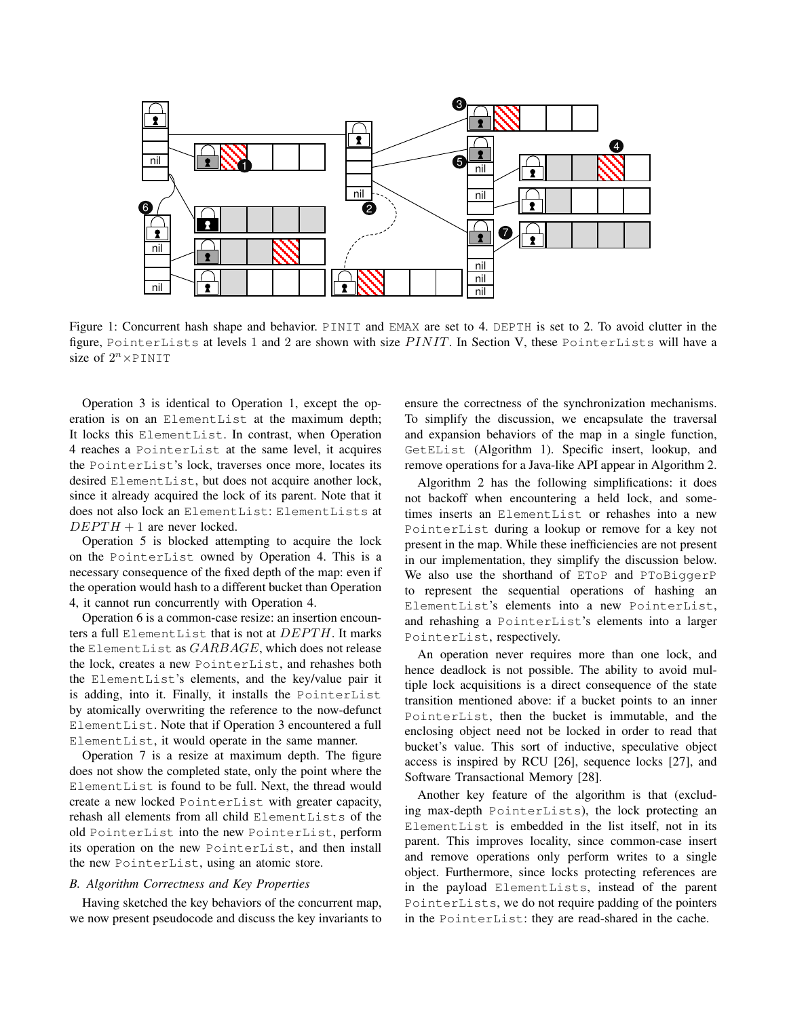

Figure 1: Concurrent hash shape and behavior. PINIT and EMAX are set to 4. DEPTH is set to 2. To avoid clutter in the figure, PointerLists at levels 1 and 2 are shown with size  $PINT$ . In Section V, these PointerLists will have a size of  $2^n \times \text{PINIT}$ 

Operation 3 is identical to Operation 1, except the operation is on an ElementList at the maximum depth; It locks this ElementList. In contrast, when Operation 4 reaches a PointerList at the same level, it acquires the PointerList's lock, traverses once more, locates its desired ElementList, but does not acquire another lock, since it already acquired the lock of its parent. Note that it does not also lock an ElementList: ElementLists at  $DEPTH + 1$  are never locked.

Operation 5 is blocked attempting to acquire the lock on the PointerList owned by Operation 4. This is a necessary consequence of the fixed depth of the map: even if the operation would hash to a different bucket than Operation 4, it cannot run concurrently with Operation 4.

Operation 6 is a common-case resize: an insertion encounters a full ElementList that is not at  $DEPTH$ . It marks the ElementList as  $GARBAGE$ , which does not release the lock, creates a new PointerList, and rehashes both the ElementList's elements, and the key/value pair it is adding, into it. Finally, it installs the PointerList by atomically overwriting the reference to the now-defunct ElementList. Note that if Operation 3 encountered a full ElementList, it would operate in the same manner.

Operation 7 is a resize at maximum depth. The figure does not show the completed state, only the point where the ElementList is found to be full. Next, the thread would create a new locked PointerList with greater capacity, rehash all elements from all child ElementLists of the old PointerList into the new PointerList, perform its operation on the new PointerList, and then install the new PointerList, using an atomic store.

#### *B. Algorithm Correctness and Key Properties*

Having sketched the key behaviors of the concurrent map, we now present pseudocode and discuss the key invariants to ensure the correctness of the synchronization mechanisms. To simplify the discussion, we encapsulate the traversal and expansion behaviors of the map in a single function, GetEList (Algorithm 1). Specific insert, lookup, and remove operations for a Java-like API appear in Algorithm 2.

Algorithm 2 has the following simplifications: it does not backoff when encountering a held lock, and sometimes inserts an ElementList or rehashes into a new PointerList during a lookup or remove for a key not present in the map. While these inefficiencies are not present in our implementation, they simplify the discussion below. We also use the shorthand of ETOP and PTOBiggerP to represent the sequential operations of hashing an ElementList's elements into a new PointerList, and rehashing a PointerList's elements into a larger PointerList, respectively.

An operation never requires more than one lock, and hence deadlock is not possible. The ability to avoid multiple lock acquisitions is a direct consequence of the state transition mentioned above: if a bucket points to an inner PointerList, then the bucket is immutable, and the enclosing object need not be locked in order to read that bucket's value. This sort of inductive, speculative object access is inspired by RCU [26], sequence locks [27], and Software Transactional Memory [28].

Another key feature of the algorithm is that (excluding max-depth PointerLists), the lock protecting an ElementList is embedded in the list itself, not in its parent. This improves locality, since common-case insert and remove operations only perform writes to a single object. Furthermore, since locks protecting references are in the payload ElementLists, instead of the parent PointerLists, we do not require padding of the pointers in the PointerList: they are read-shared in the cache.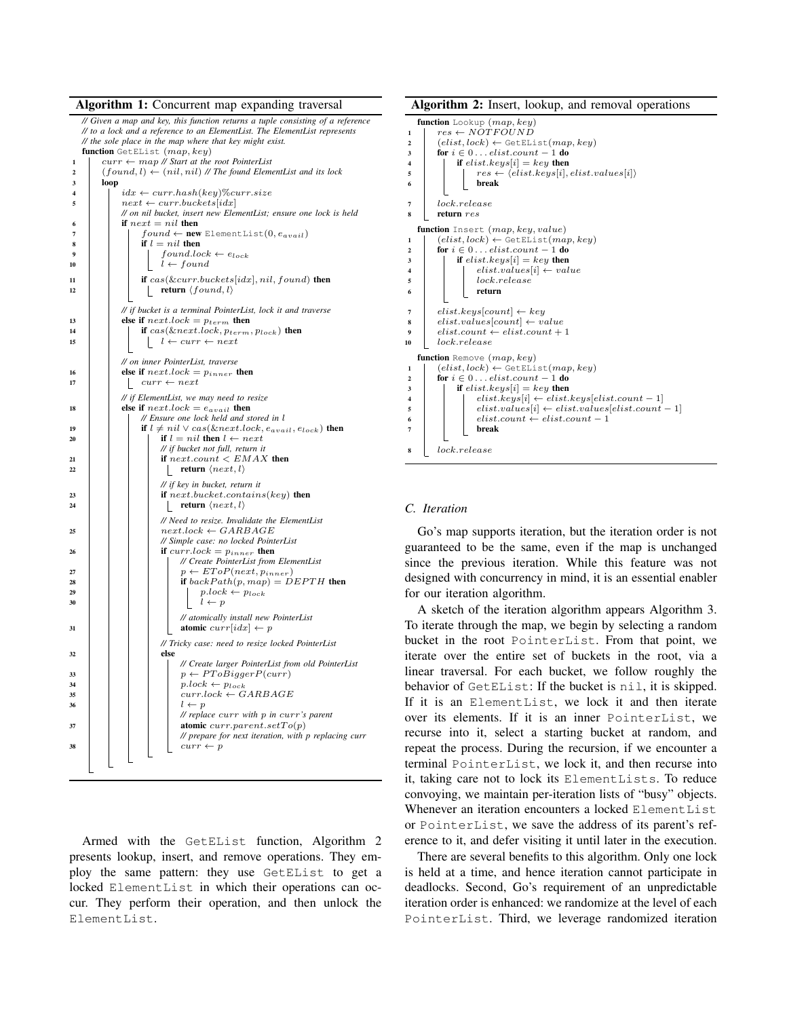Algorithm 1: Concurrent map expanding traversal *// Given a map and key, this function returns a tuple consisting of a reference // to a lock and a reference to an ElementList. The ElementList represents // the sole place in the map where that key might exist.* function GetEList  $(map, key)$ <sup>1</sup> curr ← map *// Start at the root PointerList* 2  $(found, l) \leftarrow (nil, nil)$  // The found ElementList and its lock 3 loop 4  $idx \leftarrow curr.hash(key)\% curr.size$ <br>5  $next \leftarrow curr.bucketslidx$  $next \leftarrow curr.buckets[idx]$ *// on nil bucket, insert new ElementList; ensure one lock is held* if  $next = nil$  then 7 found ← new ElementList(0,  $e_{avail}$ )<br>8 if  $l = nil$  then if  $l = nil$  then 9 found.lock  $\leftarrow e_{lock}$ <br>10  $l \leftarrow found$  $l \leftarrow found$ 11 **if**  $cas(\&curr.buckets[idx], nil, found)$  then 12  $\Big|\Big|$  return  $\langle found, l\rangle$ *// if bucket is a terminal PointerList, lock it and traverse* 13 else if  $nextlock = p_{term}$  then<br>
if  $cos(knert lock, n_{term})$ if  $cas(\&nextlock, p_{term}, p_{lock})$  then 15  $\vert \vert \vert \vert \vert \vert \cdot \vert \cdot \vert$  + curr  $\leftarrow$  next *// on inner PointerList, traverse* 16 else if  $nextlock = p_{inner}$  then  $\lbrack \quad curr \leftarrow next$ *// if ElementList, we may need to resize* 18 else if  $nextlock = e_{avail}$  then *// Ensure one lock held and stored in* l 19 if  $l \neq nil \vee cas(knextlock, e_{avail}, e_{lock})$  then 20 if  $l = nil$  then  $l \leftarrow next$ *// if bucket not full, return it* 21 if  $next.count < EMAX$  then 22 | | | | | | return  $\langle next, l \rangle$ *// if key in bucket, return it* 23 if next.bucket.contains(key) then 24 | | | | | return  $\langle next, l \rangle$ *// Need to resize. Invalidate the ElementList* <sup>25</sup> next.lock ← GARBAGE *// Simple case: no locked PointerList* 26 | | | if  $curr. lock = p_{inner}$  then *// Create PointerList from ElementList*  $p \rightarrow p \leftarrow EToP(next, p_{inner})$ 28 if  $backPath(p, map) = DEPTH$  then  $p.lock \leftarrow p_{lock}$ 30 | | | | |  $l \leftarrow p$ *// atomically install new PointerList* 31 **atomic** curr $\lceil idx \rceil \leftarrow p$ *// Tricky case: need to resize locked PointerList*  $32$   $\vert$   $\vert$   $\vert$   $\vert$  else *// Create larger PointerList from old PointerList*  $\begin{array}{c|c|c|c|c|c|c|c} \hline \end{array}$  b = p ← PToBiggerP(curr)  $34$  | | | |  $p.\textit{lock} \leftarrow p_\textit{lock}$  $curr.lock \gets GARBAGE$ 36 | | | |  $l \leftarrow p$ *// replace* curr *with* p *in* curr*'s parent*  $37$  atomic curr.parent.set  $To(p)$ *// prepare for next iteration, with p replacing curr*  $curr \leftarrow p$ 

Armed with the GetEList function, Algorithm 2 presents lookup, insert, and remove operations. They employ the same pattern: they use GetEList to get a locked ElementList in which their operations can occur. They perform their operation, and then unlock the ElementList.

Algorithm 2: Insert, lookup, and removal operations

|                         | function Lookup $(map, key)$                                                      |
|-------------------------|-----------------------------------------------------------------------------------|
| 1                       | $res \leftarrow NOTFOUND$                                                         |
| $\mathbf{2}$            | $(elist, lock) \leftarrow GetEList(map, key)$                                     |
| 3                       | for $i \in 0$ elist.count - 1 do                                                  |
| 4                       | if $elist. keys[i] = key$ then                                                    |
| 5                       | $res \leftarrow \langle elist. keys[i], elist. values[i] \rangle$                 |
| 6                       | break                                                                             |
|                         |                                                                                   |
| 7                       | lock.release                                                                      |
| 8                       | return res                                                                        |
|                         | function Insert (map, key, value)                                                 |
|                         |                                                                                   |
| 1                       | $(elist, lock) \leftarrow GetEList(map, key)$<br>for $i \in 0$ elist.count - 1 do |
| 2                       |                                                                                   |
| 3                       | if $elist. keys[i] = key$ then                                                    |
| 4                       | $elist.values[i] \leftarrow value$                                                |
| 5                       | lock. release                                                                     |
| 6                       | return                                                                            |
| 7                       | $elist. keys[count] \leftarrow key$                                               |
|                         | $elist.values[count] \leftarrow value$                                            |
| 8                       | $elist.count \leftarrow elist.count + 1$                                          |
| 9                       | lock.release                                                                      |
| 10                      |                                                                                   |
|                         | <b>function</b> Remove $(map, key)$                                               |
| 1                       | $(elist, lock) \leftarrow GetEList(map, key)$                                     |
| $\overline{\mathbf{2}}$ | for $i \in 0 \ldots$ elist.count - 1 do                                           |
| 3                       | if $elist. keys[i] = key$ then                                                    |
| 4                       | $elist. keys[i] \leftarrow elist. keys[elist.count - 1]$                          |
| 5                       | $elist.values[i] \leftarrow elist.values[elist.count - 1]$                        |
| 6                       | $elist.count \leftarrow elist.count - 1$                                          |
| 7                       | break                                                                             |
|                         |                                                                                   |
| 8                       | lock. release                                                                     |
|                         |                                                                                   |

# *C. Iteration*

Go's map supports iteration, but the iteration order is not guaranteed to be the same, even if the map is unchanged since the previous iteration. While this feature was not designed with concurrency in mind, it is an essential enabler for our iteration algorithm.

A sketch of the iteration algorithm appears Algorithm 3. To iterate through the map, we begin by selecting a random bucket in the root PointerList. From that point, we iterate over the entire set of buckets in the root, via a linear traversal. For each bucket, we follow roughly the behavior of GetEList: If the bucket is nil, it is skipped. If it is an ElementList, we lock it and then iterate over its elements. If it is an inner PointerList, we recurse into it, select a starting bucket at random, and repeat the process. During the recursion, if we encounter a terminal PointerList, we lock it, and then recurse into it, taking care not to lock its ElementLists. To reduce convoying, we maintain per-iteration lists of "busy" objects. Whenever an iteration encounters a locked ElementList or PointerList, we save the address of its parent's reference to it, and defer visiting it until later in the execution.

There are several benefits to this algorithm. Only one lock is held at a time, and hence iteration cannot participate in deadlocks. Second, Go's requirement of an unpredictable iteration order is enhanced: we randomize at the level of each PointerList. Third, we leverage randomized iteration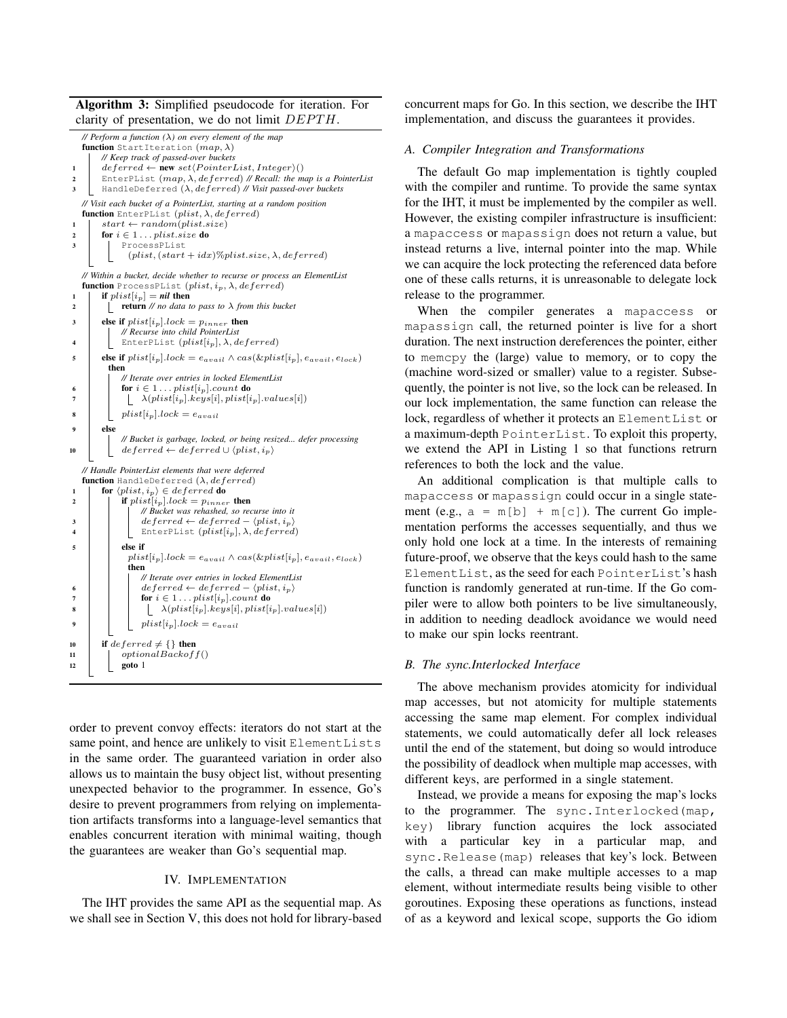Algorithm 3: Simplified pseudocode for iteration. For clarity of presentation, we do not limit  $DEPTH$ .



order to prevent convoy effects: iterators do not start at the same point, and hence are unlikely to visit ElementLists in the same order. The guaranteed variation in order also allows us to maintain the busy object list, without presenting unexpected behavior to the programmer. In essence, Go's desire to prevent programmers from relying on implementation artifacts transforms into a language-level semantics that enables concurrent iteration with minimal waiting, though the guarantees are weaker than Go's sequential map.

#### IV. IMPLEMENTATION

The IHT provides the same API as the sequential map. As we shall see in Section V, this does not hold for library-based concurrent maps for Go. In this section, we describe the IHT implementation, and discuss the guarantees it provides.

## *A. Compiler Integration and Transformations*

The default Go map implementation is tightly coupled with the compiler and runtime. To provide the same syntax for the IHT, it must be implemented by the compiler as well. However, the existing compiler infrastructure is insufficient: a mapaccess or mapassign does not return a value, but instead returns a live, internal pointer into the map. While we can acquire the lock protecting the referenced data before one of these calls returns, it is unreasonable to delegate lock release to the programmer.

When the compiler generates a mapaccess or mapassign call, the returned pointer is live for a short duration. The next instruction dereferences the pointer, either to memcpy the (large) value to memory, or to copy the (machine word-sized or smaller) value to a register. Subsequently, the pointer is not live, so the lock can be released. In our lock implementation, the same function can release the lock, regardless of whether it protects an ElementList or a maximum-depth PointerList. To exploit this property, we extend the API in Listing 1 so that functions retrurn references to both the lock and the value.

An additional complication is that multiple calls to mapaccess or mapassign could occur in a single statement (e.g.,  $a = m[b] + m[c]$ ). The current Go implementation performs the accesses sequentially, and thus we only hold one lock at a time. In the interests of remaining future-proof, we observe that the keys could hash to the same ElementList, as the seed for each PointerList's hash function is randomly generated at run-time. If the Go compiler were to allow both pointers to be live simultaneously, in addition to needing deadlock avoidance we would need to make our spin locks reentrant.

#### *B. The sync.Interlocked Interface*

The above mechanism provides atomicity for individual map accesses, but not atomicity for multiple statements accessing the same map element. For complex individual statements, we could automatically defer all lock releases until the end of the statement, but doing so would introduce the possibility of deadlock when multiple map accesses, with different keys, are performed in a single statement.

Instead, we provide a means for exposing the map's locks to the programmer. The sync.Interlocked(map, key) library function acquires the lock associated with a particular key in a particular map, and sync.Release(map) releases that key's lock. Between the calls, a thread can make multiple accesses to a map element, without intermediate results being visible to other goroutines. Exposing these operations as functions, instead of as a keyword and lexical scope, supports the Go idiom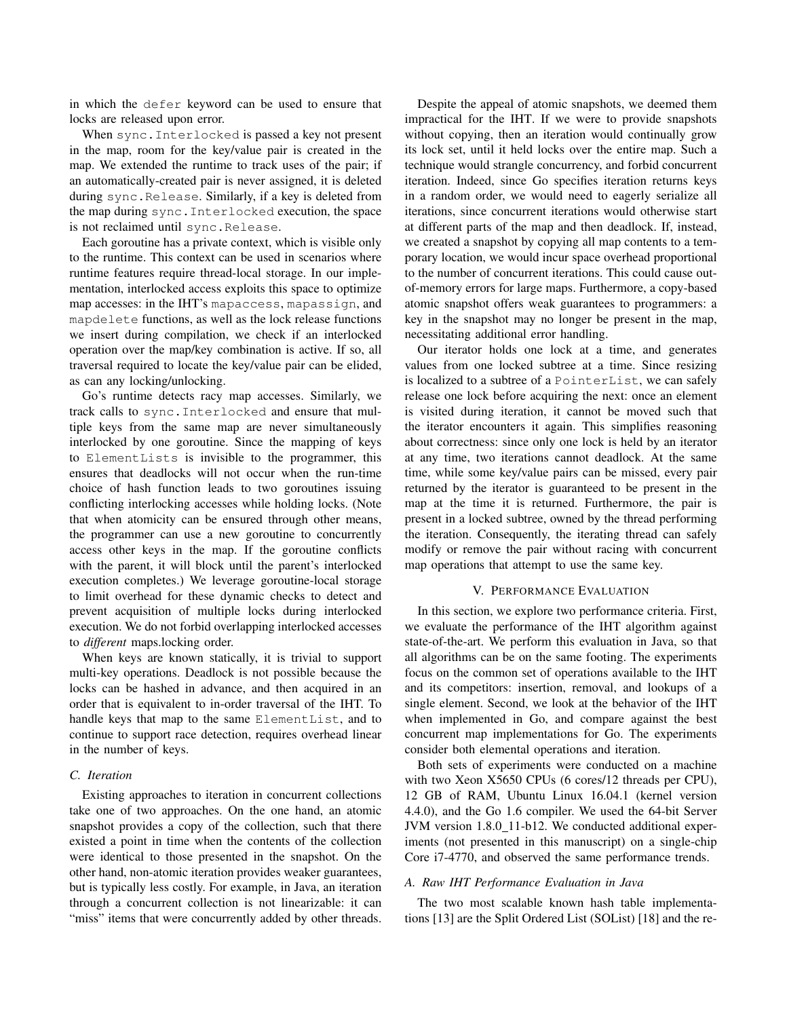in which the defer keyword can be used to ensure that locks are released upon error.

When sync.Interlocked is passed a key not present in the map, room for the key/value pair is created in the map. We extended the runtime to track uses of the pair; if an automatically-created pair is never assigned, it is deleted during sync.Release. Similarly, if a key is deleted from the map during sync.Interlocked execution, the space is not reclaimed until sync.Release.

Each goroutine has a private context, which is visible only to the runtime. This context can be used in scenarios where runtime features require thread-local storage. In our implementation, interlocked access exploits this space to optimize map accesses: in the IHT's mapaccess, mapassign, and mapdelete functions, as well as the lock release functions we insert during compilation, we check if an interlocked operation over the map/key combination is active. If so, all traversal required to locate the key/value pair can be elided, as can any locking/unlocking.

Go's runtime detects racy map accesses. Similarly, we track calls to sync.Interlocked and ensure that multiple keys from the same map are never simultaneously interlocked by one goroutine. Since the mapping of keys to ElementLists is invisible to the programmer, this ensures that deadlocks will not occur when the run-time choice of hash function leads to two goroutines issuing conflicting interlocking accesses while holding locks. (Note that when atomicity can be ensured through other means, the programmer can use a new goroutine to concurrently access other keys in the map. If the goroutine conflicts with the parent, it will block until the parent's interlocked execution completes.) We leverage goroutine-local storage to limit overhead for these dynamic checks to detect and prevent acquisition of multiple locks during interlocked execution. We do not forbid overlapping interlocked accesses to *different* maps.locking order.

When keys are known statically, it is trivial to support multi-key operations. Deadlock is not possible because the locks can be hashed in advance, and then acquired in an order that is equivalent to in-order traversal of the IHT. To handle keys that map to the same ElementList, and to continue to support race detection, requires overhead linear in the number of keys.

## *C. Iteration*

Existing approaches to iteration in concurrent collections take one of two approaches. On the one hand, an atomic snapshot provides a copy of the collection, such that there existed a point in time when the contents of the collection were identical to those presented in the snapshot. On the other hand, non-atomic iteration provides weaker guarantees, but is typically less costly. For example, in Java, an iteration through a concurrent collection is not linearizable: it can "miss" items that were concurrently added by other threads.

Despite the appeal of atomic snapshots, we deemed them impractical for the IHT. If we were to provide snapshots without copying, then an iteration would continually grow its lock set, until it held locks over the entire map. Such a technique would strangle concurrency, and forbid concurrent iteration. Indeed, since Go specifies iteration returns keys in a random order, we would need to eagerly serialize all iterations, since concurrent iterations would otherwise start at different parts of the map and then deadlock. If, instead, we created a snapshot by copying all map contents to a temporary location, we would incur space overhead proportional to the number of concurrent iterations. This could cause outof-memory errors for large maps. Furthermore, a copy-based atomic snapshot offers weak guarantees to programmers: a key in the snapshot may no longer be present in the map, necessitating additional error handling.

Our iterator holds one lock at a time, and generates values from one locked subtree at a time. Since resizing is localized to a subtree of a PointerList, we can safely release one lock before acquiring the next: once an element is visited during iteration, it cannot be moved such that the iterator encounters it again. This simplifies reasoning about correctness: since only one lock is held by an iterator at any time, two iterations cannot deadlock. At the same time, while some key/value pairs can be missed, every pair returned by the iterator is guaranteed to be present in the map at the time it is returned. Furthermore, the pair is present in a locked subtree, owned by the thread performing the iteration. Consequently, the iterating thread can safely modify or remove the pair without racing with concurrent map operations that attempt to use the same key.

#### V. PERFORMANCE EVALUATION

In this section, we explore two performance criteria. First, we evaluate the performance of the IHT algorithm against state-of-the-art. We perform this evaluation in Java, so that all algorithms can be on the same footing. The experiments focus on the common set of operations available to the IHT and its competitors: insertion, removal, and lookups of a single element. Second, we look at the behavior of the IHT when implemented in Go, and compare against the best concurrent map implementations for Go. The experiments consider both elemental operations and iteration.

Both sets of experiments were conducted on a machine with two Xeon X5650 CPUs (6 cores/12 threads per CPU), 12 GB of RAM, Ubuntu Linux 16.04.1 (kernel version 4.4.0), and the Go 1.6 compiler. We used the 64-bit Server JVM version 1.8.0\_11-b12. We conducted additional experiments (not presented in this manuscript) on a single-chip Core i7-4770, and observed the same performance trends.

#### *A. Raw IHT Performance Evaluation in Java*

The two most scalable known hash table implementations [13] are the Split Ordered List (SOList) [18] and the re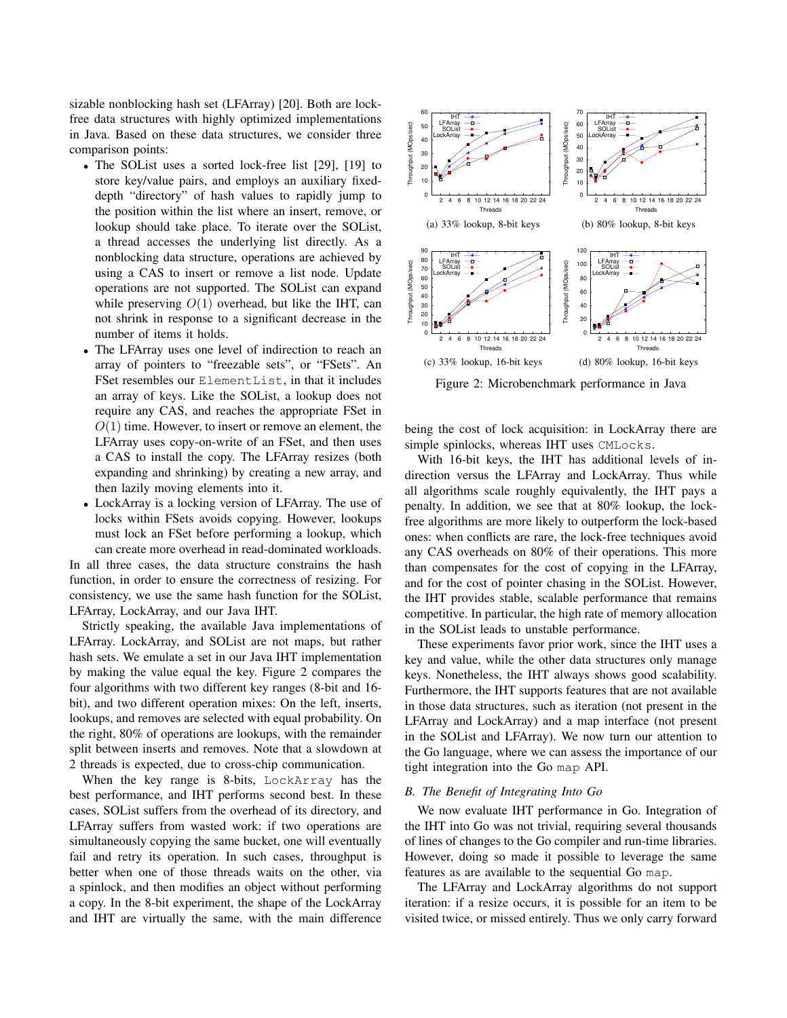sizable nonblocking hash set (LFArray) [20]. Both are lockfree data structures with highly optimized implementations in Java. Based on these data structures, we consider three comparison points:

- The SOList uses a sorted lock-free list [29], [19] to store key/value pairs, and employs an auxiliary fixeddepth "directory" of hash values to rapidly jump to the position within the list where an insert, remove, or lookup should take place. To iterate over the SOList, a thread accesses the underlying list directly. As a nonblocking data structure, operations are achieved by using a CAS to insert or remove a list node. Update operations are not supported. The SOList can expand while preserving  $O(1)$  overhead, but like the IHT, can not shrink in response to a significant decrease in the number of items it holds.
- The LFArray uses one level of indirection to reach an array of pointers to "freezable sets", or "FSets". An FSet resembles our ElementList, in that it includes an array of keys. Like the SOList, a lookup does not require any CAS, and reaches the appropriate FSet in  $O(1)$  time. However, to insert or remove an element, the LFArray uses copy-on-write of an FSet, and then uses a CAS to install the copy. The LFArray resizes (both expanding and shrinking) by creating a new array, and then lazily moving elements into it.
- LockArray is a locking version of LFArray. The use of locks within FSets avoids copying. However, lookups must lock an FSet before performing a lookup, which can create more overhead in read-dominated workloads.

In all three cases, the data structure constrains the hash function, in order to ensure the correctness of resizing. For consistency, we use the same hash function for the SOList, LFArray, LockArray, and our Java IHT.

Strictly speaking, the available Java implementations of LFArray. LockArray, and SOList are not maps, but rather hash sets. We emulate a set in our Java IHT implementation by making the value equal the key. Figure 2 compares the four algorithms with two different key ranges (8-bit and 16 bit), and two different operation mixes: On the left, inserts, lookups, and removes are selected with equal probability. On the right, 80% of operations are lookups, with the remainder split between inserts and removes. Note that a slowdown at 2 threads is expected, due to cross-chip communication.

When the key range is 8-bits, LockArray has the best performance, and IHT performs second best. In these cases, SOList suffers from the overhead of its directory, and LFArray suffers from wasted work: if two operations are simultaneously copying the same bucket, one will eventually fail and retry its operation. In such cases, throughput is better when one of those threads waits on the other, via a spinlock, and then modifies an object without performing a copy. In the 8-bit experiment, the shape of the LockArray and IHT are virtually the same, with the main difference



Figure 2: Microbenchmark performance in Java

being the cost of lock acquisition: in LockArray there are simple spinlocks, whereas IHT uses CMLocks.

With 16-bit keys, the IHT has additional levels of indirection versus the LFArray and LockArray. Thus while all algorithms scale roughly equivalently, the IHT pays a penalty. In addition, we see that at 80% lookup, the lockfree algorithms are more likely to outperform the lock-based ones: when conflicts are rare, the lock-free techniques avoid any CAS overheads on 80% of their operations. This more than compensates for the cost of copying in the LFArray, and for the cost of pointer chasing in the SOList. However, the IHT provides stable, scalable performance that remains competitive. In particular, the high rate of memory allocation in the SOList leads to unstable performance.

These experiments favor prior work, since the IHT uses a key and value, while the other data structures only manage keys. Nonetheless, the IHT always shows good scalability. Furthermore, the IHT supports features that are not available in those data structures, such as iteration (not present in the LFArray and LockArray) and a map interface (not present in the SOList and LFArray). We now turn our attention to the Go language, where we can assess the importance of our tight integration into the Go map API.

#### *B. The Benefit of Integrating Into Go*

We now evaluate IHT performance in Go. Integration of the IHT into Go was not trivial, requiring several thousands of lines of changes to the Go compiler and run-time libraries. However, doing so made it possible to leverage the same features as are available to the sequential Go map.

The LFArray and LockArray algorithms do not support iteration: if a resize occurs, it is possible for an item to be visited twice, or missed entirely. Thus we only carry forward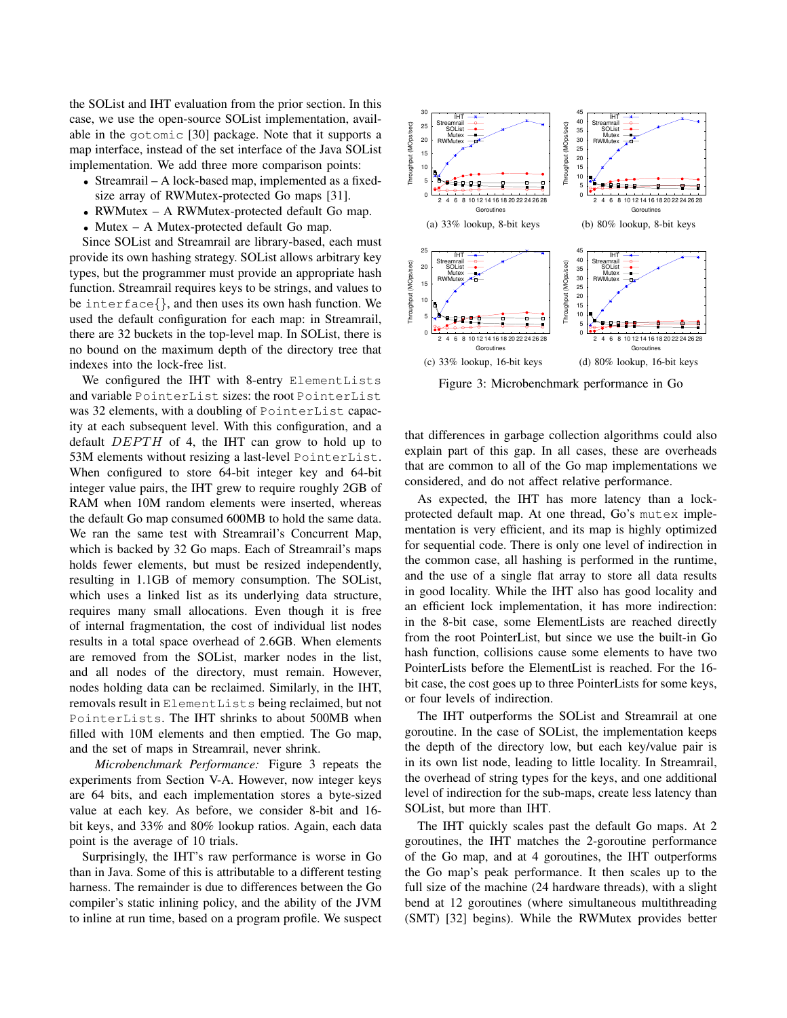the SOList and IHT evaluation from the prior section. In this case, we use the open-source SOList implementation, available in the gotomic [30] package. Note that it supports a map interface, instead of the set interface of the Java SOList implementation. We add three more comparison points:

- Streamrail A lock-based map, implemented as a fixedsize array of RWMutex-protected Go maps [31].
- RWMutex A RWMutex-protected default Go map.
- Mutex A Mutex-protected default Go map.

Since SOList and Streamrail are library-based, each must provide its own hashing strategy. SOList allows arbitrary key types, but the programmer must provide an appropriate hash function. Streamrail requires keys to be strings, and values to be interface{}, and then uses its own hash function. We used the default configuration for each map: in Streamrail, there are 32 buckets in the top-level map. In SOList, there is no bound on the maximum depth of the directory tree that indexes into the lock-free list.

We configured the IHT with 8-entry ElementLists and variable PointerList sizes: the root PointerList was 32 elements, with a doubling of PointerList capacity at each subsequent level. With this configuration, and a default  $DEPTH$  of 4, the IHT can grow to hold up to 53M elements without resizing a last-level PointerList. When configured to store 64-bit integer key and 64-bit integer value pairs, the IHT grew to require roughly 2GB of RAM when 10M random elements were inserted, whereas the default Go map consumed 600MB to hold the same data. We ran the same test with Streamrail's Concurrent Map, which is backed by 32 Go maps. Each of Streamrail's maps holds fewer elements, but must be resized independently, resulting in 1.1GB of memory consumption. The SOList, which uses a linked list as its underlying data structure, requires many small allocations. Even though it is free of internal fragmentation, the cost of individual list nodes results in a total space overhead of 2.6GB. When elements are removed from the SOList, marker nodes in the list, and all nodes of the directory, must remain. However, nodes holding data can be reclaimed. Similarly, in the IHT, removals result in ElementLists being reclaimed, but not PointerLists. The IHT shrinks to about 500MB when filled with 10M elements and then emptied. The Go map, and the set of maps in Streamrail, never shrink.

*Microbenchmark Performance:* Figure 3 repeats the experiments from Section V-A. However, now integer keys are 64 bits, and each implementation stores a byte-sized value at each key. As before, we consider 8-bit and 16 bit keys, and 33% and 80% lookup ratios. Again, each data point is the average of 10 trials.

Surprisingly, the IHT's raw performance is worse in Go than in Java. Some of this is attributable to a different testing harness. The remainder is due to differences between the Go compiler's static inlining policy, and the ability of the JVM to inline at run time, based on a program profile. We suspect



Figure 3: Microbenchmark performance in Go

that differences in garbage collection algorithms could also explain part of this gap. In all cases, these are overheads that are common to all of the Go map implementations we considered, and do not affect relative performance.

As expected, the IHT has more latency than a lockprotected default map. At one thread, Go's mutex implementation is very efficient, and its map is highly optimized for sequential code. There is only one level of indirection in the common case, all hashing is performed in the runtime, and the use of a single flat array to store all data results in good locality. While the IHT also has good locality and an efficient lock implementation, it has more indirection: in the 8-bit case, some ElementLists are reached directly from the root PointerList, but since we use the built-in Go hash function, collisions cause some elements to have two PointerLists before the ElementList is reached. For the 16 bit case, the cost goes up to three PointerLists for some keys, or four levels of indirection.

The IHT outperforms the SOList and Streamrail at one goroutine. In the case of SOList, the implementation keeps the depth of the directory low, but each key/value pair is in its own list node, leading to little locality. In Streamrail, the overhead of string types for the keys, and one additional level of indirection for the sub-maps, create less latency than SOList, but more than IHT.

The IHT quickly scales past the default Go maps. At 2 goroutines, the IHT matches the 2-goroutine performance of the Go map, and at 4 goroutines, the IHT outperforms the Go map's peak performance. It then scales up to the full size of the machine (24 hardware threads), with a slight bend at 12 goroutines (where simultaneous multithreading (SMT) [32] begins). While the RWMutex provides better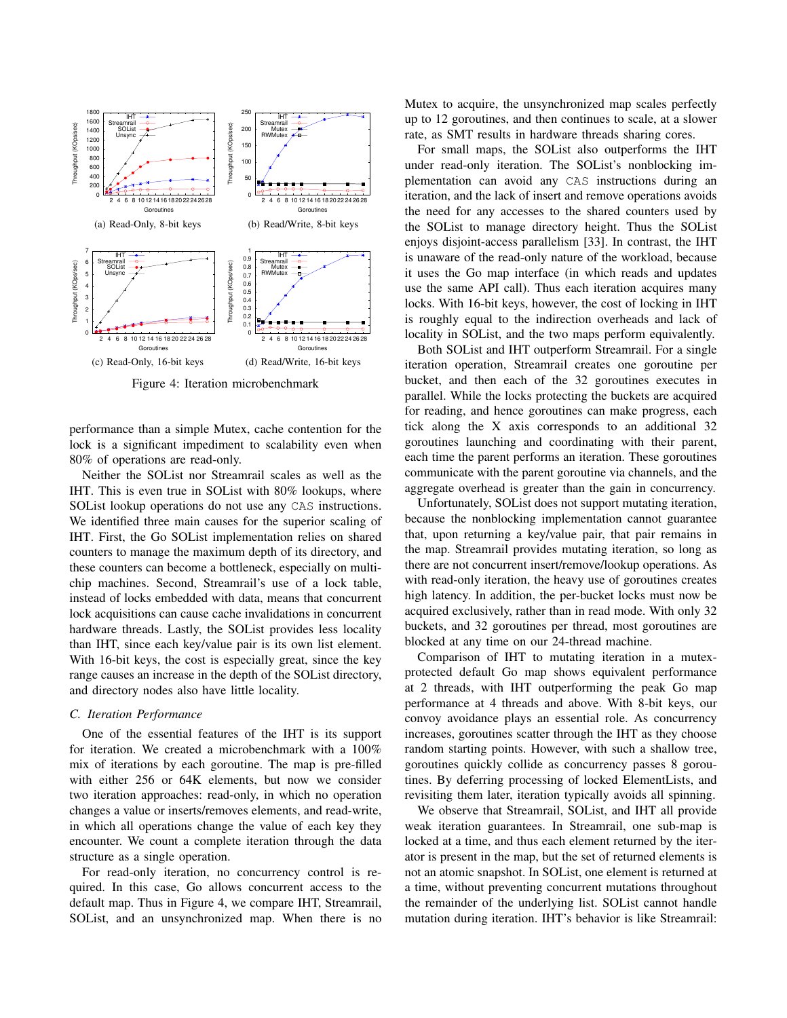

Figure 4: Iteration microbenchmark

performance than a simple Mutex, cache contention for the lock is a significant impediment to scalability even when 80% of operations are read-only.

Neither the SOList nor Streamrail scales as well as the IHT. This is even true in SOList with 80% lookups, where SOList lookup operations do not use any CAS instructions. We identified three main causes for the superior scaling of IHT. First, the Go SOList implementation relies on shared counters to manage the maximum depth of its directory, and these counters can become a bottleneck, especially on multichip machines. Second, Streamrail's use of a lock table, instead of locks embedded with data, means that concurrent lock acquisitions can cause cache invalidations in concurrent hardware threads. Lastly, the SOList provides less locality than IHT, since each key/value pair is its own list element. With 16-bit keys, the cost is especially great, since the key range causes an increase in the depth of the SOList directory, and directory nodes also have little locality.

## *C. Iteration Performance*

One of the essential features of the IHT is its support for iteration. We created a microbenchmark with a 100% mix of iterations by each goroutine. The map is pre-filled with either 256 or 64K elements, but now we consider two iteration approaches: read-only, in which no operation changes a value or inserts/removes elements, and read-write, in which all operations change the value of each key they encounter. We count a complete iteration through the data structure as a single operation.

For read-only iteration, no concurrency control is required. In this case, Go allows concurrent access to the default map. Thus in Figure 4, we compare IHT, Streamrail, SOList, and an unsynchronized map. When there is no Mutex to acquire, the unsynchronized map scales perfectly up to 12 goroutines, and then continues to scale, at a slower rate, as SMT results in hardware threads sharing cores.

For small maps, the SOList also outperforms the IHT under read-only iteration. The SOList's nonblocking implementation can avoid any CAS instructions during an iteration, and the lack of insert and remove operations avoids the need for any accesses to the shared counters used by the SOList to manage directory height. Thus the SOList enjoys disjoint-access parallelism [33]. In contrast, the IHT is unaware of the read-only nature of the workload, because it uses the Go map interface (in which reads and updates use the same API call). Thus each iteration acquires many locks. With 16-bit keys, however, the cost of locking in IHT is roughly equal to the indirection overheads and lack of locality in SOList, and the two maps perform equivalently.

Both SOList and IHT outperform Streamrail. For a single iteration operation, Streamrail creates one goroutine per bucket, and then each of the 32 goroutines executes in parallel. While the locks protecting the buckets are acquired for reading, and hence goroutines can make progress, each tick along the X axis corresponds to an additional 32 goroutines launching and coordinating with their parent, each time the parent performs an iteration. These goroutines communicate with the parent goroutine via channels, and the aggregate overhead is greater than the gain in concurrency.

Unfortunately, SOList does not support mutating iteration, because the nonblocking implementation cannot guarantee that, upon returning a key/value pair, that pair remains in the map. Streamrail provides mutating iteration, so long as there are not concurrent insert/remove/lookup operations. As with read-only iteration, the heavy use of goroutines creates high latency. In addition, the per-bucket locks must now be acquired exclusively, rather than in read mode. With only 32 buckets, and 32 goroutines per thread, most goroutines are blocked at any time on our 24-thread machine.

Comparison of IHT to mutating iteration in a mutexprotected default Go map shows equivalent performance at 2 threads, with IHT outperforming the peak Go map performance at 4 threads and above. With 8-bit keys, our convoy avoidance plays an essential role. As concurrency increases, goroutines scatter through the IHT as they choose random starting points. However, with such a shallow tree, goroutines quickly collide as concurrency passes 8 goroutines. By deferring processing of locked ElementLists, and revisiting them later, iteration typically avoids all spinning.

We observe that Streamrail, SOList, and IHT all provide weak iteration guarantees. In Streamrail, one sub-map is locked at a time, and thus each element returned by the iterator is present in the map, but the set of returned elements is not an atomic snapshot. In SOList, one element is returned at a time, without preventing concurrent mutations throughout the remainder of the underlying list. SOList cannot handle mutation during iteration. IHT's behavior is like Streamrail: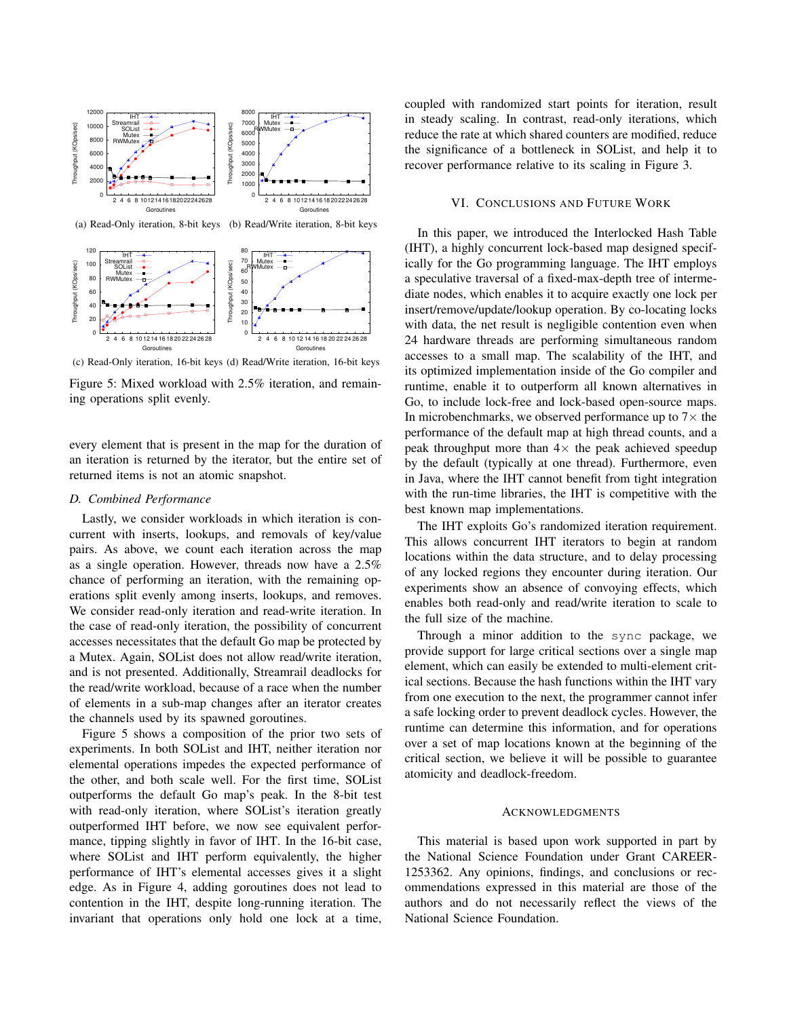

(c) Read-Only iteration, 16-bit keys (d) Read/Write iteration, 16-bit keys

Figure 5: Mixed workload with 2.5% iteration, and remaining operations split evenly.

every element that is present in the map for the duration of an iteration is returned by the iterator, but the entire set of returned items is not an atomic snapshot.

#### *D. Combined Performance*

Lastly, we consider workloads in which iteration is concurrent with inserts, lookups, and removals of key/value pairs. As above, we count each iteration across the map as a single operation. However, threads now have a 2.5% chance of performing an iteration, with the remaining operations split evenly among inserts, lookups, and removes. We consider read-only iteration and read-write iteration. In the case of read-only iteration, the possibility of concurrent accesses necessitates that the default Go map be protected by a Mutex. Again, SOList does not allow read/write iteration, and is not presented. Additionally, Streamrail deadlocks for the read/write workload, because of a race when the number of elements in a sub-map changes after an iterator creates the channels used by its spawned goroutines.

Figure 5 shows a composition of the prior two sets of experiments. In both SOList and IHT, neither iteration nor elemental operations impedes the expected performance of the other, and both scale well. For the first time, SOList outperforms the default Go map's peak. In the 8-bit test with read-only iteration, where SOList's iteration greatly outperformed IHT before, we now see equivalent performance, tipping slightly in favor of IHT. In the 16-bit case, where SOList and IHT perform equivalently, the higher performance of IHT's elemental accesses gives it a slight edge. As in Figure 4, adding goroutines does not lead to contention in the IHT, despite long-running iteration. The invariant that operations only hold one lock at a time, coupled with randomized start points for iteration, result in steady scaling. In contrast, read-only iterations, which reduce the rate at which shared counters are modified, reduce the significance of a bottleneck in SOList, and help it to recover performance relative to its scaling in Figure 3.

#### VI. CONCLUSIONS AND FUTURE WORK

In this paper, we introduced the Interlocked Hash Table (IHT), a highly concurrent lock-based map designed specifically for the Go programming language. The IHT employs a speculative traversal of a fixed-max-depth tree of intermediate nodes, which enables it to acquire exactly one lock per insert/remove/update/lookup operation. By co-locating locks with data, the net result is negligible contention even when 24 hardware threads are performing simultaneous random accesses to a small map. The scalability of the IHT, and its optimized implementation inside of the Go compiler and runtime, enable it to outperform all known alternatives in Go, to include lock-free and lock-based open-source maps. In microbenchmarks, we observed performance up to  $7\times$  the performance of the default map at high thread counts, and a peak throughput more than  $4 \times$  the peak achieved speedup by the default (typically at one thread). Furthermore, even in Java, where the IHT cannot benefit from tight integration with the run-time libraries, the IHT is competitive with the best known map implementations.

The IHT exploits Go's randomized iteration requirement. This allows concurrent IHT iterators to begin at random locations within the data structure, and to delay processing of any locked regions they encounter during iteration. Our experiments show an absence of convoying effects, which enables both read-only and read/write iteration to scale to the full size of the machine.

Through a minor addition to the sync package, we provide support for large critical sections over a single map element, which can easily be extended to multi-element critical sections. Because the hash functions within the IHT vary from one execution to the next, the programmer cannot infer a safe locking order to prevent deadlock cycles. However, the runtime can determine this information, and for operations over a set of map locations known at the beginning of the critical section, we believe it will be possible to guarantee atomicity and deadlock-freedom.

#### ACKNOWLEDGMENTS

This material is based upon work supported in part by the National Science Foundation under Grant CAREER-1253362. Any opinions, findings, and conclusions or recommendations expressed in this material are those of the authors and do not necessarily reflect the views of the National Science Foundation.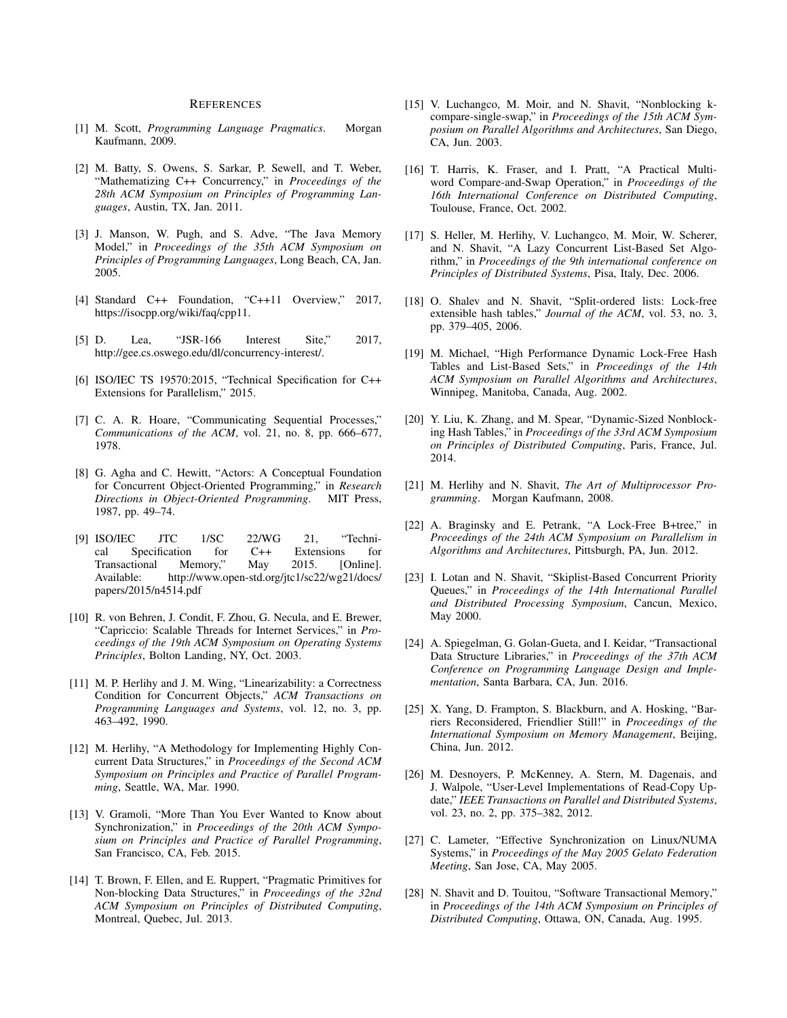#### **REFERENCES**

- [1] M. Scott, *Programming Language Pragmatics*. Morgan Kaufmann, 2009.
- [2] M. Batty, S. Owens, S. Sarkar, P. Sewell, and T. Weber, "Mathematizing C++ Concurrency," in *Proceedings of the 28th ACM Symposium on Principles of Programming Languages*, Austin, TX, Jan. 2011.
- [3] J. Manson, W. Pugh, and S. Adve, "The Java Memory Model," in *Proceedings of the 35th ACM Symposium on Principles of Programming Languages*, Long Beach, CA, Jan. 2005.
- [4] Standard C++ Foundation, "C++11 Overview," 2017, https://isocpp.org/wiki/faq/cpp11.
- [5] D. Lea, "JSR-166 Interest Site," 2017, http://gee.cs.oswego.edu/dl/concurrency-interest/.
- [6] ISO/IEC TS 19570:2015, "Technical Specification for C++ Extensions for Parallelism," 2015.
- [7] C. A. R. Hoare, "Communicating Sequential Processes," *Communications of the ACM*, vol. 21, no. 8, pp. 666–677, 1978.
- [8] G. Agha and C. Hewitt, "Actors: A Conceptual Foundation for Concurrent Object-Oriented Programming," in *Research Directions in Object-Oriented Programming*. MIT Press, 1987, pp. 49–74.
- [9] ISO/IEC JTC 1/SC 22/WG 21, "Technical Specification for C++ Extensions for<br>Transactional Memory," May 2015. [Online]. Transactional Available: http://www.open-std.org/jtc1/sc22/wg21/docs/ papers/2015/n4514.pdf
- [10] R. von Behren, J. Condit, F. Zhou, G. Necula, and E. Brewer, "Capriccio: Scalable Threads for Internet Services," in *Proceedings of the 19th ACM Symposium on Operating Systems Principles*, Bolton Landing, NY, Oct. 2003.
- [11] M. P. Herlihy and J. M. Wing, "Linearizability: a Correctness Condition for Concurrent Objects," *ACM Transactions on Programming Languages and Systems*, vol. 12, no. 3, pp. 463–492, 1990.
- [12] M. Herlihy, "A Methodology for Implementing Highly Concurrent Data Structures," in *Proceedings of the Second ACM Symposium on Principles and Practice of Parallel Programming*, Seattle, WA, Mar. 1990.
- [13] V. Gramoli, "More Than You Ever Wanted to Know about Synchronization," in *Proceedings of the 20th ACM Symposium on Principles and Practice of Parallel Programming*, San Francisco, CA, Feb. 2015.
- [14] T. Brown, F. Ellen, and E. Ruppert, "Pragmatic Primitives for Non-blocking Data Structures," in *Proceedings of the 32nd ACM Symposium on Principles of Distributed Computing*, Montreal, Quebec, Jul. 2013.
- [15] V. Luchangco, M. Moir, and N. Shavit, "Nonblocking kcompare-single-swap," in *Proceedings of the 15th ACM Symposium on Parallel Algorithms and Architectures*, San Diego, CA, Jun. 2003.
- [16] T. Harris, K. Fraser, and I. Pratt, "A Practical Multiword Compare-and-Swap Operation," in *Proceedings of the 16th International Conference on Distributed Computing*, Toulouse, France, Oct. 2002.
- [17] S. Heller, M. Herlihy, V. Luchangco, M. Moir, W. Scherer, and N. Shavit, "A Lazy Concurrent List-Based Set Algorithm," in *Proceedings of the 9th international conference on Principles of Distributed Systems*, Pisa, Italy, Dec. 2006.
- [18] O. Shalev and N. Shavit, "Split-ordered lists: Lock-free extensible hash tables," *Journal of the ACM*, vol. 53, no. 3, pp. 379–405, 2006.
- [19] M. Michael, "High Performance Dynamic Lock-Free Hash Tables and List-Based Sets," in *Proceedings of the 14th ACM Symposium on Parallel Algorithms and Architectures*, Winnipeg, Manitoba, Canada, Aug. 2002.
- [20] Y. Liu, K. Zhang, and M. Spear, "Dynamic-Sized Nonblocking Hash Tables," in *Proceedings of the 33rd ACM Symposium on Principles of Distributed Computing*, Paris, France, Jul. 2014.
- [21] M. Herlihy and N. Shavit, *The Art of Multiprocessor Programming*. Morgan Kaufmann, 2008.
- [22] A. Braginsky and E. Petrank, "A Lock-Free B+tree," in *Proceedings of the 24th ACM Symposium on Parallelism in Algorithms and Architectures*, Pittsburgh, PA, Jun. 2012.
- [23] I. Lotan and N. Shavit, "Skiplist-Based Concurrent Priority Queues," in *Proceedings of the 14th International Parallel and Distributed Processing Symposium*, Cancun, Mexico, May 2000.
- [24] A. Spiegelman, G. Golan-Gueta, and I. Keidar, "Transactional Data Structure Libraries," in *Proceedings of the 37th ACM Conference on Programming Language Design and Implementation*, Santa Barbara, CA, Jun. 2016.
- [25] X. Yang, D. Frampton, S. Blackburn, and A. Hosking, "Barriers Reconsidered, Friendlier Still!" in *Proceedings of the International Symposium on Memory Management*, Beijing, China, Jun. 2012.
- [26] M. Desnoyers, P. McKenney, A. Stern, M. Dagenais, and J. Walpole, "User-Level Implementations of Read-Copy Update," *IEEE Transactions on Parallel and Distributed Systems*, vol. 23, no. 2, pp. 375–382, 2012.
- [27] C. Lameter, "Effective Synchronization on Linux/NUMA Systems," in *Proceedings of the May 2005 Gelato Federation Meeting*, San Jose, CA, May 2005.
- [28] N. Shavit and D. Touitou, "Software Transactional Memory," in *Proceedings of the 14th ACM Symposium on Principles of Distributed Computing*, Ottawa, ON, Canada, Aug. 1995.